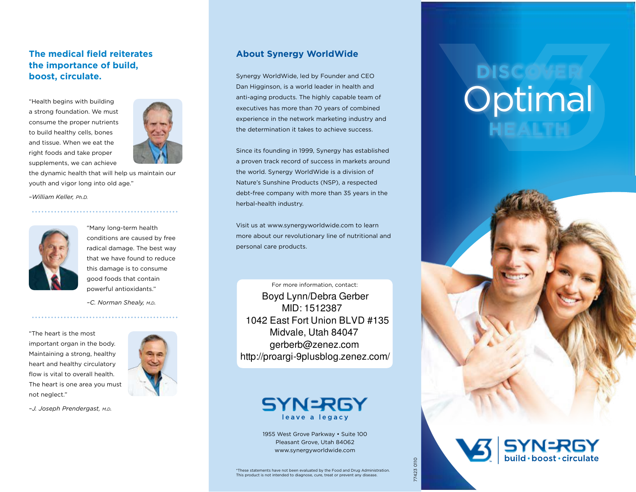#### **The medical feld reiterates the importance of build, boost, circulate.**

"Health begins with building a strong foundation. We must consume the proper nutrients to build healthy cells, bones and tissue. When we eat the right foods and take proper supplements, we can achieve



the dynamic health that will help us maintain our youth and vigor long into old age."

*–William Keller, Ph.D.*



"Many long-term health conditions are caused by free radical damage. The best way that we have found to reduce this damage is to consume good foods that contain powerful antioxidants."

*–C. Norman Shealy, m.d.*

"The heart is the most important organ in the body. Maintaining a strong, healthy heart and healthy circulatory flow is vital to overall health. The heart is one area you must not neglect."

*–J. Joseph Prendergast, m.d.*

#### **About Synergy WorldWide**

Synergy WorldWide, led by Founder and CEO Dan Higginson, is a world leader in health and anti-aging products. The highly capable team of executives has more than 70 years of combined experience in the network marketing industry and the determination it takes to achieve success.

Since its founding in 1999, Synergy has established a proven track record of success in markets around the world. Synergy WorldWide is a division of Nature's Sunshine Products (NSP), a respected debt-free company with more than 35 years in the herbal-health industry.

Visit us at www.synergyworldwide.com to learn more about our revolutionary line of nutritional and personal care products.

For more information, contact: Boyd Lynn/Debra Gerber MID: 1512387 1042 East Fort Union BLVD #135 Midvale, Utah 84047 gerberb@zenez.com http://proargi-9plusblog.zenez.com/



1955 West Grove Parkway • Suite 100 Pleasant Grove, Utah 84062 www.synergyworldwide.com

# **diScover** Optimal **HeALTH**